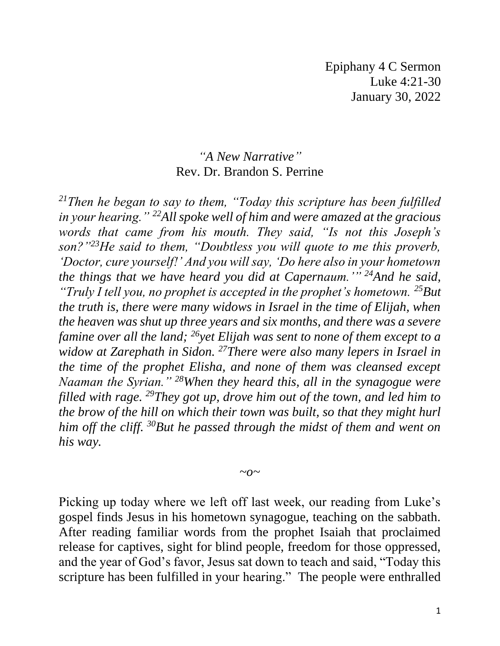## *"A New Narrative"* Rev. Dr. Brandon S. Perrine

*<sup>21</sup>Then he began to say to them, "Today this scripture has been fulfilled in your hearing." <sup>22</sup>All spoke well of him and were amazed at the gracious words that came from his mouth. They said, "Is not this Joseph's son?"<sup>23</sup>He said to them, "Doubtless you will quote to me this proverb, 'Doctor, cure yourself!' And you will say, 'Do here also in your hometown the things that we have heard you did at Capernaum.'" <sup>24</sup>And he said, "Truly I tell you, no prophet is accepted in the prophet's hometown. <sup>25</sup>But the truth is, there were many widows in Israel in the time of Elijah, when the heaven was shut up three years and six months, and there was a severe famine over all the land; <sup>26</sup>yet Elijah was sent to none of them except to a widow at Zarephath in Sidon. <sup>27</sup>There were also many lepers in Israel in the time of the prophet Elisha, and none of them was cleansed except Naaman the Syrian." <sup>28</sup>When they heard this, all in the synagogue were filled with rage. <sup>29</sup>They got up, drove him out of the town, and led him to the brow of the hill on which their town was built, so that they might hurl him off the cliff. <sup>30</sup>But he passed through the midst of them and went on his way.*

 $\sim$ <sup>*o* $\sim$ </sup>

Picking up today where we left off last week, our reading from Luke's gospel finds Jesus in his hometown synagogue, teaching on the sabbath. After reading familiar words from the prophet Isaiah that proclaimed release for captives, sight for blind people, freedom for those oppressed, and the year of God's favor, Jesus sat down to teach and said, "Today this scripture has been fulfilled in your hearing." The people were enthralled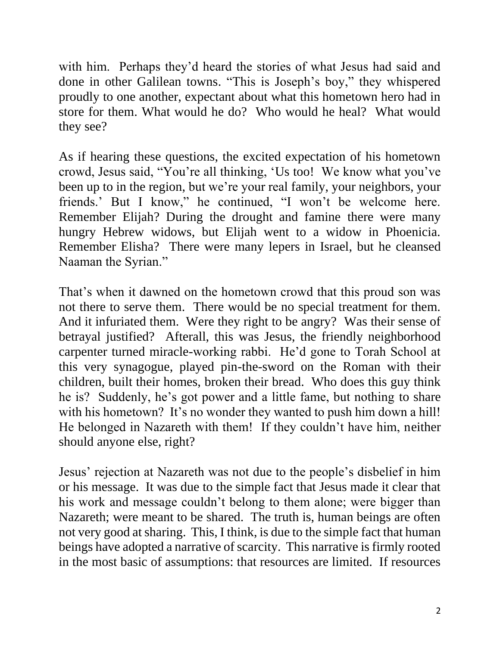with him. Perhaps they'd heard the stories of what Jesus had said and done in other Galilean towns. "This is Joseph's boy," they whispered proudly to one another, expectant about what this hometown hero had in store for them. What would he do? Who would he heal? What would they see?

As if hearing these questions, the excited expectation of his hometown crowd, Jesus said, "You're all thinking, 'Us too! We know what you've been up to in the region, but we're your real family, your neighbors, your friends.' But I know," he continued, "I won't be welcome here. Remember Elijah? During the drought and famine there were many hungry Hebrew widows, but Elijah went to a widow in Phoenicia. Remember Elisha? There were many lepers in Israel, but he cleansed Naaman the Syrian."

That's when it dawned on the hometown crowd that this proud son was not there to serve them. There would be no special treatment for them. And it infuriated them. Were they right to be angry? Was their sense of betrayal justified? Afterall, this was Jesus, the friendly neighborhood carpenter turned miracle-working rabbi. He'd gone to Torah School at this very synagogue, played pin-the-sword on the Roman with their children, built their homes, broken their bread. Who does this guy think he is? Suddenly, he's got power and a little fame, but nothing to share with his hometown? It's no wonder they wanted to push him down a hill! He belonged in Nazareth with them! If they couldn't have him, neither should anyone else, right?

Jesus' rejection at Nazareth was not due to the people's disbelief in him or his message. It was due to the simple fact that Jesus made it clear that his work and message couldn't belong to them alone; were bigger than Nazareth; were meant to be shared. The truth is, human beings are often not very good at sharing. This, I think, is due to the simple fact that human beings have adopted a narrative of scarcity. This narrative is firmly rooted in the most basic of assumptions: that resources are limited. If resources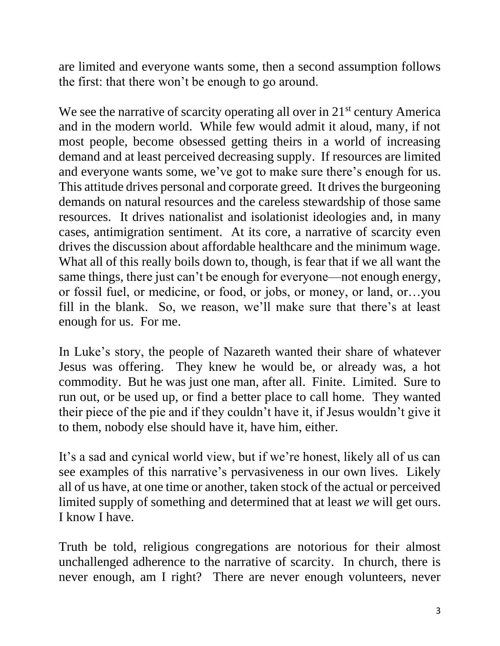are limited and everyone wants some, then a second assumption follows the first: that there won't be enough to go around.

We see the narrative of scarcity operating all over in 21<sup>st</sup> century America and in the modern world. While few would admit it aloud, many, if not most people, become obsessed getting theirs in a world of increasing demand and at least perceived decreasing supply. If resources are limited and everyone wants some, we've got to make sure there's enough for us. This attitude drives personal and corporate greed. It drives the burgeoning demands on natural resources and the careless stewardship of those same resources. It drives nationalist and isolationist ideologies and, in many cases, antimigration sentiment. At its core, a narrative of scarcity even drives the discussion about affordable healthcare and the minimum wage. What all of this really boils down to, though, is fear that if we all want the same things, there just can't be enough for everyone—not enough energy, or fossil fuel, or medicine, or food, or jobs, or money, or land, or…you fill in the blank. So, we reason, we'll make sure that there's at least enough for us. For me.

In Luke's story, the people of Nazareth wanted their share of whatever Jesus was offering. They knew he would be, or already was, a hot commodity. But he was just one man, after all. Finite. Limited. Sure to run out, or be used up, or find a better place to call home. They wanted their piece of the pie and if they couldn't have it, if Jesus wouldn't give it to them, nobody else should have it, have him, either.

It's a sad and cynical world view, but if we're honest, likely all of us can see examples of this narrative's pervasiveness in our own lives. Likely all of us have, at one time or another, taken stock of the actual or perceived limited supply of something and determined that at least *we* will get ours. I know I have.

Truth be told, religious congregations are notorious for their almost unchallenged adherence to the narrative of scarcity. In church, there is never enough, am I right? There are never enough volunteers, never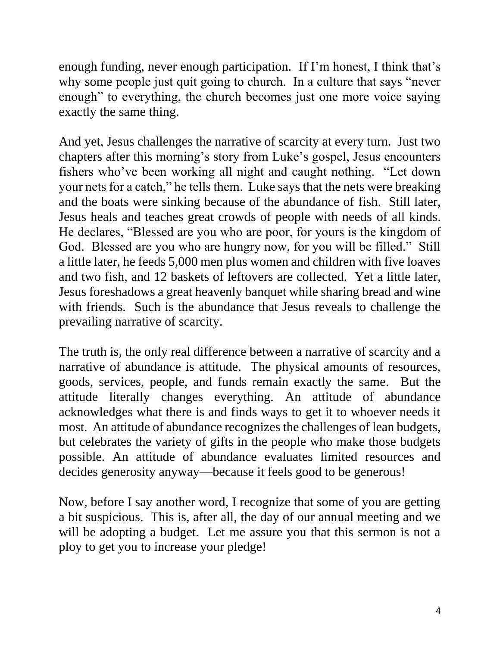enough funding, never enough participation. If I'm honest, I think that's why some people just quit going to church. In a culture that says "never enough" to everything, the church becomes just one more voice saying exactly the same thing.

And yet, Jesus challenges the narrative of scarcity at every turn. Just two chapters after this morning's story from Luke's gospel, Jesus encounters fishers who've been working all night and caught nothing. "Let down your nets for a catch," he tells them. Luke says that the nets were breaking and the boats were sinking because of the abundance of fish. Still later, Jesus heals and teaches great crowds of people with needs of all kinds. He declares, "Blessed are you who are poor, for yours is the kingdom of God. Blessed are you who are hungry now, for you will be filled." Still a little later, he feeds 5,000 men plus women and children with five loaves and two fish, and 12 baskets of leftovers are collected. Yet a little later, Jesus foreshadows a great heavenly banquet while sharing bread and wine with friends. Such is the abundance that Jesus reveals to challenge the prevailing narrative of scarcity.

The truth is, the only real difference between a narrative of scarcity and a narrative of abundance is attitude. The physical amounts of resources, goods, services, people, and funds remain exactly the same. But the attitude literally changes everything. An attitude of abundance acknowledges what there is and finds ways to get it to whoever needs it most. An attitude of abundance recognizes the challenges of lean budgets, but celebrates the variety of gifts in the people who make those budgets possible. An attitude of abundance evaluates limited resources and decides generosity anyway—because it feels good to be generous!

Now, before I say another word, I recognize that some of you are getting a bit suspicious. This is, after all, the day of our annual meeting and we will be adopting a budget. Let me assure you that this sermon is not a ploy to get you to increase your pledge!